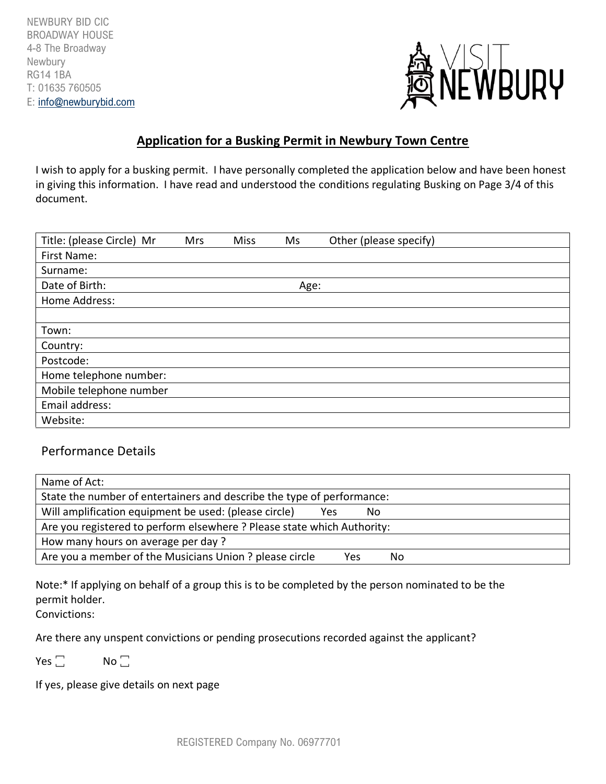

## **Application for a Busking Permit in Newbury Town Centre**

I wish to apply for a busking permit. I have personally completed the application below and have been honest in giving this information. I have read and understood the conditions regulating Busking on Page 3/4 of this document.

| Title: (please Circle) Mr | Mrs | <b>Miss</b> | Ms   | Other (please specify) |
|---------------------------|-----|-------------|------|------------------------|
| First Name:               |     |             |      |                        |
| Surname:                  |     |             |      |                        |
| Date of Birth:            |     |             | Age: |                        |
| Home Address:             |     |             |      |                        |
|                           |     |             |      |                        |
| Town:                     |     |             |      |                        |
| Country:                  |     |             |      |                        |
| Postcode:                 |     |             |      |                        |
| Home telephone number:    |     |             |      |                        |
| Mobile telephone number   |     |             |      |                        |
| Email address:            |     |             |      |                        |
| Website:                  |     |             |      |                        |

## Performance Details

| Name of Act:                                                            |            |     |    |  |  |  |
|-------------------------------------------------------------------------|------------|-----|----|--|--|--|
| State the number of entertainers and describe the type of performance:  |            |     |    |  |  |  |
| Will amplification equipment be used: (please circle)                   | <b>Yes</b> | No  |    |  |  |  |
| Are you registered to perform elsewhere ? Please state which Authority: |            |     |    |  |  |  |
| How many hours on average per day?                                      |            |     |    |  |  |  |
| Are you a member of the Musicians Union ? please circle                 |            | Yes | No |  |  |  |

Note:\* If applying on behalf of a group this is to be completed by the person nominated to be the permit holder.

Convictions:

Are there any unspent convictions or pending prosecutions recorded against the applicant?

 $Yes \_$  No  $\_$ 

If yes, please give details on next page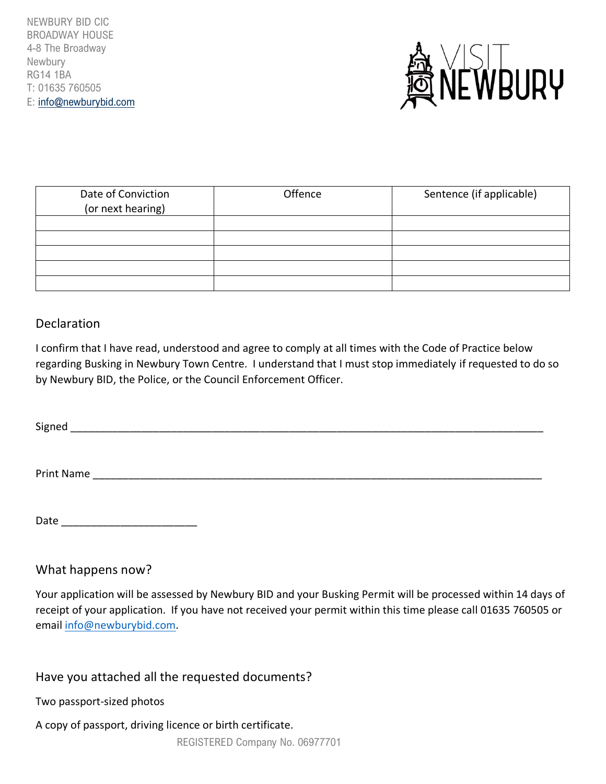NEWBURY BID CIC BROADWAY HOUSE 4-8 The Broadway Newbury RG14 1BA T: 01635 760505 E: [info@newburybid.com](mailto:info@newburybid.com)



| Date of Conviction<br>(or next hearing) | Offence | Sentence (if applicable) |
|-----------------------------------------|---------|--------------------------|
|                                         |         |                          |
|                                         |         |                          |
|                                         |         |                          |
|                                         |         |                          |
|                                         |         |                          |

# Declaration

I confirm that I have read, understood and agree to comply at all times with the Code of Practice below regarding Busking in Newbury Town Centre. I understand that I must stop immediately if requested to do so by Newbury BID, the Police, or the Council Enforcement Officer.

Signed \_\_\_\_\_\_\_\_\_\_\_\_\_\_\_\_\_\_\_\_\_\_\_\_\_\_\_\_\_\_\_\_\_\_\_\_\_\_\_\_\_\_\_\_\_\_\_\_\_\_\_\_\_\_\_\_\_\_\_\_\_\_\_\_\_\_\_\_\_\_\_\_\_\_\_\_\_\_\_\_

Print Name

Date \_\_\_\_\_\_\_\_\_\_\_\_\_\_\_\_\_\_\_\_\_\_\_

## What happens now?

Your application will be assessed by Newbury BID and your Busking Permit will be processed within 14 days of receipt of your application. If you have not received your permit within this time please call 01635 760505 or email [info@newburybid.com.](mailto:info@newburybid.com)

# Have you attached all the requested documents?

Two passport-sized photos

A copy of passport, driving licence or birth certificate.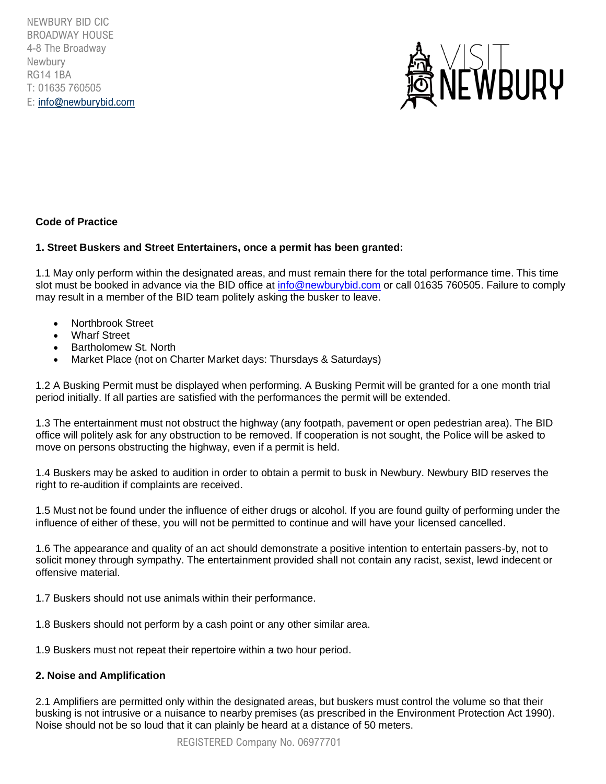NEWBURY BID CIC BROADWAY HOUSE 4-8 The Broadway Newbury RG14 1BA T: 01635 760505 E: [info@newburybid.com](mailto:info@newburybid.com)



## **Code of Practice**

#### **1. Street Buskers and Street Entertainers, once a permit has been granted:**

1.1 May only perform within the designated areas, and must remain there for the total performance time. This time slot must be booked in advance via the BID office at [info@newburybid.com](mailto:info@newburybid.com) or call 01635 760505. Failure to comply may result in a member of the BID team politely asking the busker to leave.

- Northbrook Street
- Wharf Street
- Bartholomew St. North
- Market Place (not on Charter Market days: Thursdays & Saturdays)

1.2 A Busking Permit must be displayed when performing. A Busking Permit will be granted for a one month trial period initially. If all parties are satisfied with the performances the permit will be extended.

1.3 The entertainment must not obstruct the highway (any footpath, pavement or open pedestrian area). The BID office will politely ask for any obstruction to be removed. If cooperation is not sought, the Police will be asked to move on persons obstructing the highway, even if a permit is held.

1.4 Buskers may be asked to audition in order to obtain a permit to busk in Newbury. Newbury BID reserves the right to re-audition if complaints are received.

1.5 Must not be found under the influence of either drugs or alcohol. If you are found guilty of performing under the influence of either of these, you will not be permitted to continue and will have your licensed cancelled.

1.6 The appearance and quality of an act should demonstrate a positive intention to entertain passers-by, not to solicit money through sympathy. The entertainment provided shall not contain any racist, sexist, lewd indecent or offensive material.

1.7 Buskers should not use animals within their performance.

1.8 Buskers should not perform by a cash point or any other similar area.

1.9 Buskers must not repeat their repertoire within a two hour period.

#### **2. Noise and Amplification**

2.1 Amplifiers are permitted only within the designated areas, but buskers must control the volume so that their busking is not intrusive or a nuisance to nearby premises (as prescribed in the Environment Protection Act 1990). Noise should not be so loud that it can plainly be heard at a distance of 50 meters.